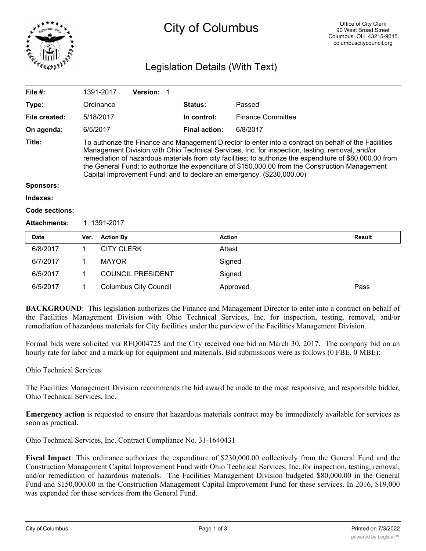

# City of Columbus

## Legislation Details (With Text)

| File $#$ :          |                                                                                                                                                                                                                                                                                                                                                                                                                                                                                                   | 1391-2017         | <b>Version: 1</b>        |  |                      |                          |               |
|---------------------|---------------------------------------------------------------------------------------------------------------------------------------------------------------------------------------------------------------------------------------------------------------------------------------------------------------------------------------------------------------------------------------------------------------------------------------------------------------------------------------------------|-------------------|--------------------------|--|----------------------|--------------------------|---------------|
| Type:               |                                                                                                                                                                                                                                                                                                                                                                                                                                                                                                   | Ordinance         |                          |  | Status:              | Passed                   |               |
| File created:       |                                                                                                                                                                                                                                                                                                                                                                                                                                                                                                   | 5/18/2017         |                          |  | In control:          | <b>Finance Committee</b> |               |
| On agenda:          | 6/5/2017                                                                                                                                                                                                                                                                                                                                                                                                                                                                                          |                   |                          |  | <b>Final action:</b> | 6/8/2017                 |               |
| Title:              | To authorize the Finance and Management Director to enter into a contract on behalf of the Facilities<br>Management Division with Ohio Technical Services, Inc. for inspection, testing, removal, and/or<br>remediation of hazardous materials from city facilities; to authorize the expenditure of \$80,000.00 from<br>the General Fund; to authorize the expenditure of \$150,000.00 from the Construction Management<br>Capital Improvement Fund; and to declare an emergency. (\$230,000.00) |                   |                          |  |                      |                          |               |
| <b>Sponsors:</b>    |                                                                                                                                                                                                                                                                                                                                                                                                                                                                                                   |                   |                          |  |                      |                          |               |
| Indexes:            |                                                                                                                                                                                                                                                                                                                                                                                                                                                                                                   |                   |                          |  |                      |                          |               |
| Code sections:      |                                                                                                                                                                                                                                                                                                                                                                                                                                                                                                   |                   |                          |  |                      |                          |               |
| <b>Attachments:</b> | 1.1391-2017                                                                                                                                                                                                                                                                                                                                                                                                                                                                                       |                   |                          |  |                      |                          |               |
| <b>Date</b>         | Ver.                                                                                                                                                                                                                                                                                                                                                                                                                                                                                              | <b>Action By</b>  |                          |  | <b>Action</b>        |                          | <b>Result</b> |
| 6/8/2017            | 1                                                                                                                                                                                                                                                                                                                                                                                                                                                                                                 | <b>CITY CLERK</b> |                          |  | Attest               |                          |               |
| 6/7/2017            | 1                                                                                                                                                                                                                                                                                                                                                                                                                                                                                                 | <b>MAYOR</b>      |                          |  | Signed               |                          |               |
| 6/5/2017            | 1                                                                                                                                                                                                                                                                                                                                                                                                                                                                                                 |                   | <b>COUNCIL PRESIDENT</b> |  | Signed               |                          |               |

**BACKGROUND**: This legislation authorizes the Finance and Management Director to enter into a contract on behalf of the Facilities Management Division with Ohio Technical Services, Inc. for inspection, testing, removal, and/or remediation of hazardous materials for City facilities under the purview of the Facilities Management Division.

6/5/2017 1 Columbus City Council Approved Pass

Formal bids were solicited via RFQ004725 and the City received one bid on March 30, 2017. The company bid on an hourly rate for labor and a mark-up for equipment and materials. Bid submissions were as follows (0 FBE, 0 MBE):

#### Ohio Technical Services

The Facilities Management Division recommends the bid award be made to the most responsive, and responsible bidder, Ohio Technical Services, Inc.

**Emergency action** is requested to ensure that hazardous materials contract may be immediately available for services as soon as practical.

Ohio Technical Services, Inc. Contract Compliance No. 31-1640431

**Fiscal Impact**: This ordinance authorizes the expenditure of \$230,000.00 collectively from the General Fund and the Construction Management Capital Improvement Fund with Ohio Technical Services, Inc. for inspection, testing, removal, and/or remediation of hazardous materials. The Facilities Management Division budgeted \$80,000.00 in the General Fund and \$150,000.00 in the Construction Management Capital Improvement Fund for these services. In 2016, \$19,000 was expended for these services from the General Fund.